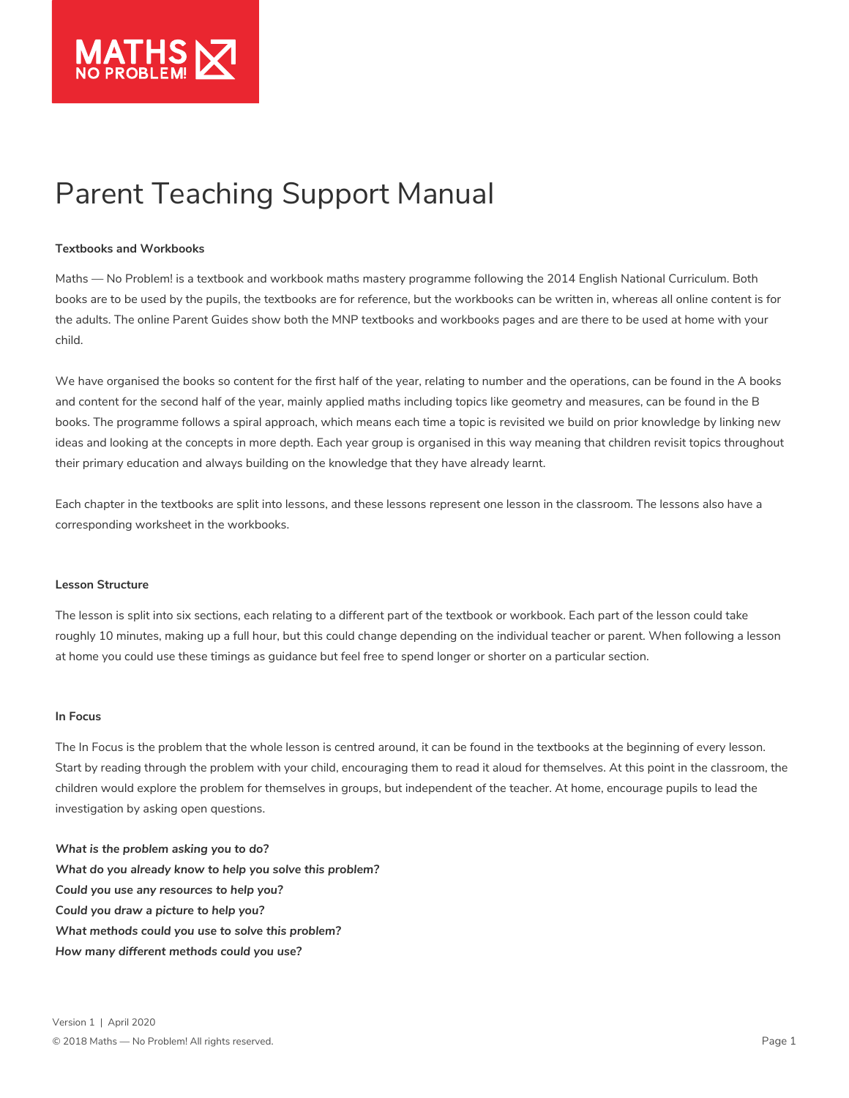

# Parent Teaching Support Manual

## **Textbooks and Workbooks**

#### **Lesson Structure**

## **In Focus**

Maths — No Problem! is a textbook and workbook maths mastery programme following the 2014 English National Curriculum. Both books are to be used by the pupils, the textbooks are for reference, but the workbooks can be written in, whereas all online content is for the adults. The online Parent Guides show both the MNP textbooks and workbooks pages and are there to be used at home with your child.

We have organised the books so content for the first half of the year, relating to number and the operations, can be found in the A books and content for the second half of the year, mainly applied maths including topics like geometry and measures, can be found in the B books. The programme follows a spiral approach, which means each time a topic is revisited we build on prior knowledge by linking new ideas and looking at the concepts in more depth. Each year group is organised in this way meaning that children revisit topics throughout

their primary education and always building on the knowledge that they have already learnt.

Each chapter in the textbooks are split into lessons, and these lessons represent one lesson in the classroom. The lessons also have a corresponding worksheet in the workbooks.

The lesson is split into six sections, each relating to a different part of the textbook or workbook. Each part of the lesson could take roughly 10 minutes, making up a full hour, but this could change depending on the individual teacher or parent. When following a lesson at home you could use these timings as guidance but feel free to spend longer or shorter on a particular section.

The In Focus is the problem that the whole lesson is centred around, it can be found in the textbooks at the beginning of every lesson. Start by reading through the problem with your child, encouraging them to read it aloud for themselves. At this point in the classroom, the children would explore the problem for themselves in groups, but independent of the teacher. At home, encourage pupils to lead the investigation by asking open questions.

*What is the problem asking you to do? What do you already know to help you solve this problem? Could you use any resources to help you?* 

## *Could you draw a picture to help you?*

*What methods could you use to solve this problem?* 

*How many different methods could you use?*



Version 1 | April 2020

© 2018 Maths — No Problem! All rights reserved.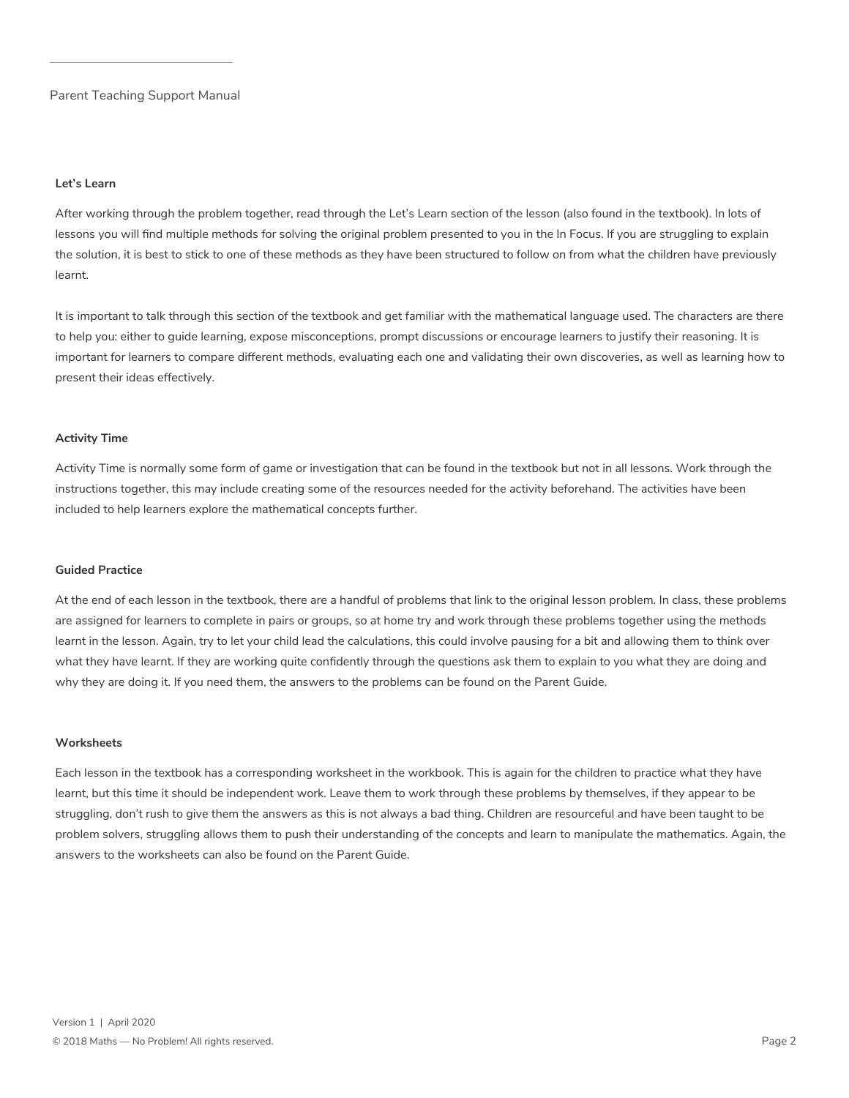#### **Let's Learn**

### **Activity Time**

## **Guided Practice**

## **Worksheets**

After working through the problem together, read through the Let's Learn section of the lesson (also found in the textbook). In lots of lessons you will find multiple methods for solving the original problem presented to you in the In Focus. If you are struggling to explain the solution, it is best to stick to one of these methods as they have been structured to follow on from what the children have previously learnt.

It is important to talk through this section of the textbook and get familiar with the mathematical language used. The characters are there to help you: either to guide learning, expose misconceptions, prompt discussions or encourage learners to justify their reasoning. It is important for learners to compare different methods, evaluating each one and validating their own discoveries, as well as learning how to present their ideas effectively.

Activity Time is normally some form of game or investigation that can be found in the textbook but not in all lessons. Work through the instructions together, this may include creating some of the resources needed for the activity beforehand. The activities have been included to help learners explore the mathematical concepts further.

At the end of each lesson in the textbook, there are a handful of problems that link to the original lesson problem. In class, these problems are assigned for learners to complete in pairs or groups, so at home try and work through these problems together using the methods learnt in the lesson. Again, try to let your child lead the calculations, this could involve pausing for a bit and allowing them to think over what they have learnt. If they are working quite confidently through the questions ask them to explain to you what they are doing and why they are doing it. If you need them, the answers to the problems can be found on the Parent Guide.

Each lesson in the textbook has a corresponding worksheet in the workbook. This is again for the children to practice what they have learnt, but this time it should be independent work. Leave them to work through these problems by themselves, if they appear to be struggling, don't rush to give them the answers as this is not always a bad thing. Children are resourceful and have been taught to be problem solvers, struggling allows them to push their understanding of the concepts and learn to manipulate the mathematics. Again, the answers to the worksheets can also be found on the Parent Guide.



Version 1 | April 2020

© 2018 Maths — No Problem! All rights reserved.

Parent Teaching Support Manual